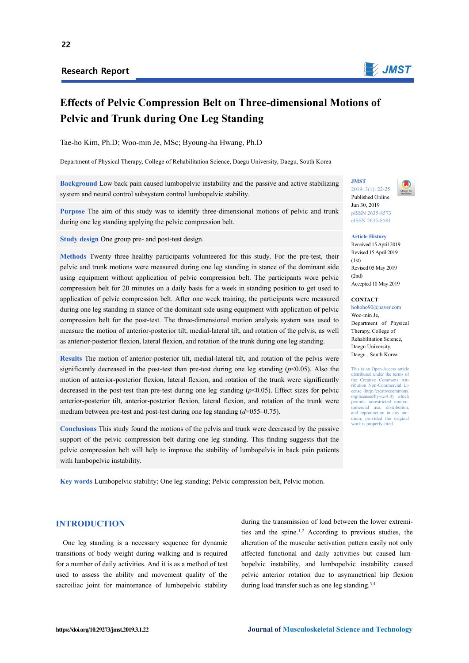## **Research Report**



# **Effects of Pelvic Compression Belt on Three-dimensional Motions of Pelvic and Trunk during One Leg Standing**

Tae-ho Kim, Ph.D; Woo-min Je, MSc; Byoung-ha Hwang, Ph.D

Department of Physical Therapy, College of Rehabilitation Science, Daegu University, Daegu, South Korea

**Background** Low back pain caused lumbopelvic instability and the passive and active stabilizing system and neural control subsystem control lumbopelvic stability.

**Purpose** The aim of this study was to identify three-dimensional motions of pelvic and trunk during one leg standing applying the pelvic compression belt.

**Study design** One group pre- and post-test design.

**Methods** Twenty three healthy participants volunteered for this study. For the pre-test, their pelvic and trunk motions were measured during one leg standing in stance of the dominant side using equipment without application of pelvic compression belt. The participants wore pelvic compression belt for 20 minutes on a daily basis for a week in standing position to get used to application of pelvic compression belt. After one week training, the participants were measured during one leg standing in stance of the dominant side using equipment with application of pelvic compression belt for the post-test. The three-dimensional motion analysis system was used to measure the motion of anterior-posterior tilt, medial-lateral tilt, and rotation of the pelvis, as well as anterior-posterior flexion, lateral flexion, and rotation of the trunk during one leg standing.

**Results** The motion of anterior-posterior tilt, medial-lateral tilt, and rotation of the pelvis were significantly decreased in the post-test than pre-test during one leg standing  $(p<0.05)$ . Also the motion of anterior-posterior flexion, lateral flexion, and rotation of the trunk were significantly decreased in the post-test than pre-test during one leg standing  $(p<0.05)$ . Effect sizes for pelvic anterior-posterior tilt, anterior-posterior flexion, lateral flexion, and rotation of the trunk were medium between pre-test and post-test during one leg standing (*d*=055–0.75).

**Conclusions** This study found the motions of the pelvis and trunk were decreased by the passive support of the pelvic compression belt during one leg standing. This finding suggests that the pelvic compression belt will help to improve the stability of lumbopelvis in back pain patients with lumbopelvic instability.

**Key words** Lumbopelvic stability; One leg standing; Pelvic compression belt, Pelvic motion.

## **JMST**  2019; 3(1): 22-25



Published Online Jun 30, 2019 pISSN 2635-8573 eISSN 2635-8581

**Article History** 

Received 15 April 2019 Revised 15 April 2019  $(1st)$ Revised 05 May 2019  $(2nd)$ Accepted 10 May 2019

#### **CONTACT**

hohoho90@naver.com Woo-min Je, Department of Physical Therapy, College of Rehabilitation Science, Daegu University, Daegu , South Korea

This is an Open-Access article distributed under the terms of the Creative Commons Attribution Non-Commercial License (http://creativec org/licenses/by-nc/4.0) which permits unrestricted non-commercial use, distribution, and reproduction in any me-dium, provided the original work is properly cited.

## **INTRODUCTION**

One leg standing is a necessary sequence for dynamic transitions of body weight during walking and is required for a number of daily activities. And it is as a method of test used to assess the ability and movement quality of the sacroiliac joint for maintenance of lumbopelvic stability

during the transmission of load between the lower extremities and the spine.1,2 According to previous studies, the alteration of the muscular activation pattern easily not only affected functional and daily activities but caused lumbopelvic instability, and lumbopelvic instability caused pelvic anterior rotation due to asymmetrical hip flexion during load transfer such as one leg standing.<sup>3,4</sup>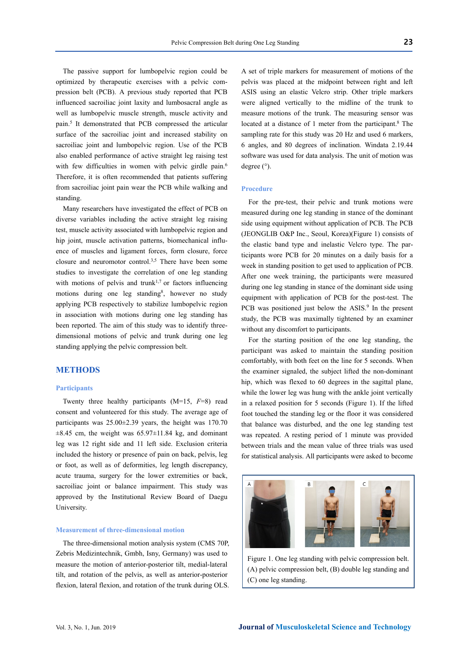The passive support for lumbopelvic region could be optimized by therapeutic exercises with a pelvic compression belt (PCB). A previous study reported that PCB influenced sacroiliac joint laxity and lumbosacral angle as well as lumbopelvic muscle strength, muscle activity and pain.5 It demonstrated that PCB compressed the articular surface of the sacroiliac joint and increased stability on sacroiliac joint and lumbopelvic region. Use of the PCB also enabled performance of active straight leg raising test with few difficulties in women with pelvic girdle pain.<sup>6</sup> Therefore, it is often recommended that patients suffering from sacroiliac joint pain wear the PCB while walking and standing.

Many researchers have investigated the effect of PCB on diverse variables including the active straight leg raising test, muscle activity associated with lumbopelvic region and hip joint, muscle activation patterns, biomechanical influence of muscles and ligament forces, form closure, force closure and neuromotor control.3,5 There have been some studies to investigate the correlation of one leg standing with motions of pelvis and trunk<sup>1,7</sup> or factors influencing motions during one leg standing<sup>8</sup>, however no study applying PCB respectively to stabilize lumbopelvic region in association with motions during one leg standing has been reported. The aim of this study was to identify threedimensional motions of pelvic and trunk during one leg standing applying the pelvic compression belt.

## **METHODS**

#### **Participants**

Twenty three healthy participants (M=15, *F*=8) read consent and volunteered for this study. The average age of participants was 25.00±2.39 years, the height was 170.70  $\pm 8.45$  cm, the weight was 65.97 $\pm 11.84$  kg, and dominant leg was 12 right side and 11 left side. Exclusion criteria included the history or presence of pain on back, pelvis, leg or foot, as well as of deformities, leg length discrepancy, acute trauma, surgery for the lower extremities or back, sacroiliac joint or balance impairment. This study was approved by the Institutional Review Board of Daegu University.

## **Measurement of three-dimensional motion**

The three-dimensional motion analysis system (CMS 70P, Zebris Medizintechnik, Gmbh, Isny, Germany) was used to measure the motion of anterior-posterior tilt, medial-lateral tilt, and rotation of the pelvis, as well as anterior-posterior flexion, lateral flexion, and rotation of the trunk during OLS.

A set of triple markers for measurement of motions of the pelvis was placed at the midpoint between right and left ASIS using an elastic Velcro strip. Other triple markers were aligned vertically to the midline of the trunk to measure motions of the trunk. The measuring sensor was located at a distance of 1 meter from the participant.<sup>8</sup> The sampling rate for this study was 20 Hz and used 6 markers, 6 angles, and 80 degrees of inclination. Windata 2.19.44 software was used for data analysis. The unit of motion was degree (°).

#### **Procedure**

For the pre-test, their pelvic and trunk motions were measured during one leg standing in stance of the dominant side using equipment without application of PCB. The PCB (JEONGLIB O&P Inc., Seoul, Korea)(Figure 1) consists of the elastic band type and inelastic Velcro type. The participants wore PCB for 20 minutes on a daily basis for a week in standing position to get used to application of PCB. After one week training, the participants were measured during one leg standing in stance of the dominant side using equipment with application of PCB for the post-test. The PCB was positioned just below the ASIS.<sup>9</sup> In the present study, the PCB was maximally tightened by an examiner without any discomfort to participants.

For the starting position of the one leg standing, the participant was asked to maintain the standing position comfortably, with both feet on the line for 5 seconds. When the examiner signaled, the subject lifted the non-dominant hip, which was flexed to 60 degrees in the sagittal plane, while the lower leg was hung with the ankle joint vertically in a relaxed position for 5 seconds (Figure 1). If the lifted foot touched the standing leg or the floor it was considered that balance was disturbed, and the one leg standing test was repeated. A resting period of 1 minute was provided between trials and the mean value of three trials was used for statistical analysis. All participants were asked to become



Figure 1. One leg standing with pelvic compression belt. (A) pelvic compression belt, (B) double leg standing and (C) one leg standing.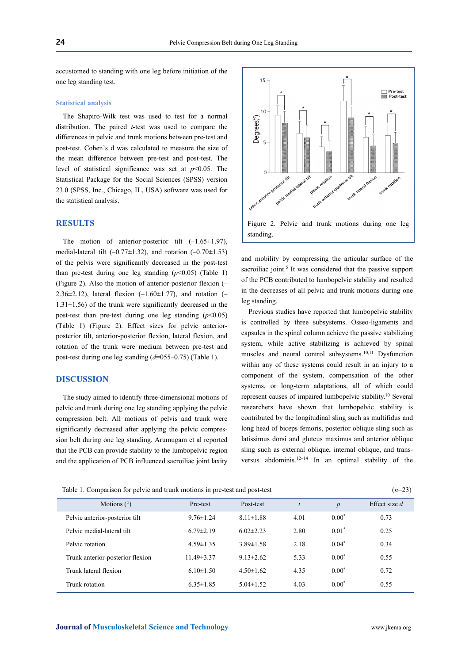accustomed to standing with one leg before initiation of the one leg standing test.

## **Statistical analysis**

The Shapiro-Wilk test was used to test for a normal distribution. The paired *t*-test was used to compare the differences in pelvic and trunk motions between pre-test and post-test. Cohen's d was calculated to measure the size of the mean difference between pre-test and post-test. The level of statistical significance was set at  $p<0.05$ . The Statistical Package for the Social Sciences (SPSS) version 23.0 (SPSS, Inc., Chicago, IL, USA) software was used for the statistical analysis.

## **RESULTS**

The motion of anterior-posterior tilt  $(-1.65 \pm 1.97)$ , medial-lateral tilt  $(-0.77 \pm 1.32)$ , and rotation  $(-0.70 \pm 1.53)$ of the pelvis were significantly decreased in the post-test than pre-test during one leg standing  $(p<0.05)$  (Table 1) (Figure 2). Also the motion of anterior-posterior flexion (– 2.36 $\pm$ 2.12), lateral flexion (-1.60 $\pm$ 1.77), and rotation (-1.31±1.56) of the trunk were significantly decreased in the post-test than pre-test during one leg standing  $(p<0.05)$ (Table 1) (Figure 2). Effect sizes for pelvic anteriorposterior tilt, anterior-posterior flexion, lateral flexion, and rotation of the trunk were medium between pre-test and post-test during one leg standing (*d*=055–0.75) (Table 1).

## **DISCUSSION**

The study aimed to identify three-dimensional motions of pelvic and trunk during one leg standing applying the pelvic compression belt. All motions of pelvis and trunk were significantly decreased after applying the pelvic compression belt during one leg standing. Arumugam et al reported that the PCB can provide stability to the lumbopelvic region and the application of PCB influenced sacroiliac joint laxity



and mobility by compressing the articular surface of the sacroiliac joint.<sup>5</sup> It was considered that the passive support of the PCB contributed to lumbopelvic stability and resulted in the decreases of all pelvic and trunk motions during one leg standing.

Previous studies have reported that lumbopelvic stability is controlled by three subsystems. Osseo-ligaments and capsules in the spinal column achieve the passive stabilizing system, while active stabilizing is achieved by spinal muscles and neural control subsystems.10,11 Dysfunction within any of these systems could result in an injury to a component of the system, compensation of the other systems, or long-term adaptations, all of which could represent causes of impaired lumbopelvic stability.10 Several researchers have shown that lumbopelvic stability is contributed by the longitudinal sling such as multifidus and long head of biceps femoris, posterior oblique sling such as latissimus dorsi and gluteus maximus and anterior oblique sling such as external oblique, internal oblique, and transversus abdominis.12–14 In an optimal stability of the

Table 1. Comparison for pelvic and trunk motions in pre-test and post-test (*n*=23)

| Motions $(°)$                    | Pre-test         | Post-test       | $\mathbf{f}$ | $\boldsymbol{p}$ | Effect size $d$ |
|----------------------------------|------------------|-----------------|--------------|------------------|-----------------|
| Pelvic anterior-posterior tilt   | $9.76 \pm 1.24$  | $8.11 \pm 1.88$ | 4.01         | $0.00^*$         | 0.73            |
| Pelvic medial-lateral tilt       | $6.79 \pm 2.19$  | $6.02 \pm 2.23$ | 2.80         | $0.01^*$         | 0.25            |
| Pelvic rotation                  | $4.59 \pm 1.35$  | $3.89 \pm 1.58$ | 2.18         | $0.04^*$         | 0.34            |
| Trunk anterior-posterior flexion | $11.49 \pm 3.37$ | $9.13 \pm 2.62$ | 5.33         | $0.00^*$         | 0.55            |
| Trunk lateral flexion            | $6.10 \pm 1.50$  | $4.50 \pm 1.62$ | 4.35         | $0.00^*$         | 0.72            |
| Trunk rotation                   | $6.35 \pm 1.85$  | $5.04 \pm 1.52$ | 4.03         | $0.00^*$         | 0.55            |